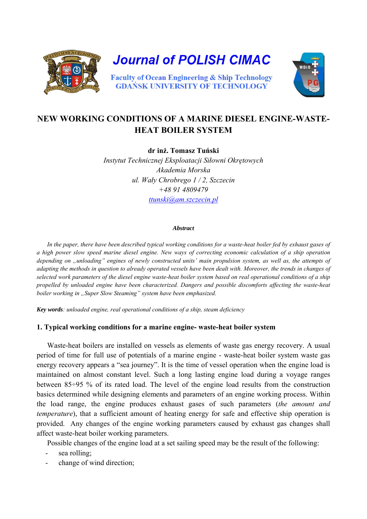

# **NEW WORKING CONDITIONS OF A MARINE DIESEL ENGINE-WASTE-HEAT BOILER SYSTEM**

**dr inż. Tomasz Tuński**  *Instytut Technicznej Eksploatacji Siłowni Okrętowych Akademia Morska ul. Wały Chrobrego 1 / 2, Szczecin +48 91 4809479 [ttunski@am.szczecin.pl](mailto:ttunski@am.szczecin.pl)*

#### *Abstract*

*In the paper, there have been described typical working conditions for a waste-heat boiler fed by exhaust gases of a high power slow speed marine diesel engine. New ways of correcting economic calculation of a ship operation depending on "unloading" engines of newly constructed units' main propulsion system, as well as, the attempts of adapting the methods in question to already operated vessels have been dealt with. Moreover, the trends in changes of selected work parameters of the diesel engine waste-heat boiler system based on real operational conditions of a ship propelled by unloaded engine have been characterized. Dangers and possible discomforts affecting the waste-heat boiler working in "Super Slow Steaming" system have been emphasized.* 

*Key words: unloaded engine, real operational conditions of a ship, steam deficiency* 

#### **1. Typical working conditions for a marine engine- waste-heat boiler system**

Waste-heat boilers are installed on vessels as elements of waste gas energy recovery. A usual period of time for full use of potentials of a marine engine - waste-heat boiler system waste gas energy recovery appears a "sea journey". It is the time of vessel operation when the engine load is maintained on almost constant level. Such a long lasting engine load during a voyage ranges between 85÷95 % of its rated load. The level of the engine load results from the construction basics determined while designing elements and parameters of an engine working process. Within the load range, the engine produces exhaust gases of such parameters (*the amount and temperature*), that a sufficient amount of heating energy for safe and effective ship operation is provided. Any changes of the engine working parameters caused by exhaust gas changes shall affect waste-heat boiler working parameters.

Possible changes of the engine load at a set sailing speed may be the result of the following:

- sea rolling;
- change of wind direction;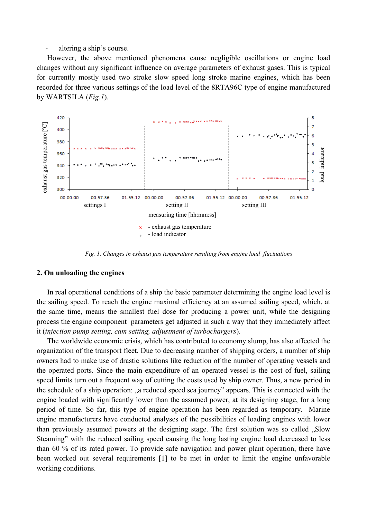- altering a ship's course.

However, the above mentioned phenomena cause negligible oscillations or engine load changes without any significant influence on average parameters of exhaust gases. This is typical for currently mostly used two stroke slow speed long stroke marine engines, which has been recorded for three various settings of the load level of the 8RTA96C type of engine manufactured by WARTSILA (*Fig.1*).



*Fig. 1. Changes in exhaust gas temperature resulting from engine load fluctuations* 

#### **2. On unloading the engines**

In real operational conditions of a ship the basic parameter determining the engine load level is the sailing speed. To reach the engine maximal efficiency at an assumed sailing speed, which, at the same time, means the smallest fuel dose for producing a power unit, while the designing process the engine component parameters get adjusted in such a way that they immediately affect it (*injection pump setting, cam setting, adjustment of turbochargers*).

The worldwide economic crisis, which has contributed to economy slump, has also affected the organization of the transport fleet. Due to decreasing number of shipping orders, a number of ship owners had to make use of drastic solutions like reduction of the number of operating vessels and the operated ports. Since the main expenditure of an operated vessel is the cost of fuel, sailing speed limits turn out a frequent way of cutting the costs used by ship owner. Thus, a new period in the schedule of a ship operation: "a reduced speed sea journey" appears. This is connected with the engine loaded with significantly lower than the assumed power, at its designing stage, for a long period of time. So far, this type of engine operation has been regarded as temporary. Marine engine manufacturers have conducted analyses of the possibilities of loading engines with lower than previously assumed powers at the designing stage. The first solution was so called "Slow Steaming" with the reduced sailing speed causing the long lasting engine load decreased to less than 60 % of its rated power. To provide safe navigation and power plant operation, there have been worked out several requirements [1] to be met in order to limit the engine unfavorable working conditions.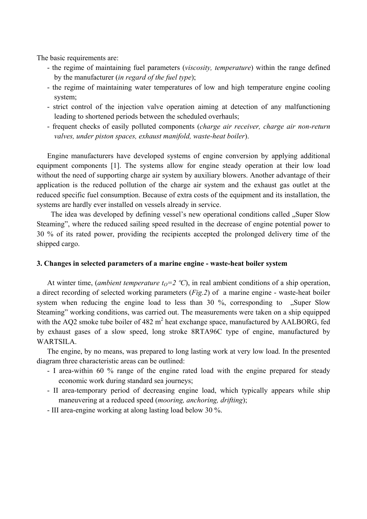The basic requirements are:

- the regime of maintaining fuel parameters (*viscosity, temperature*) within the range defined by the manufacturer (*in regard of the fuel type*);
- the regime of maintaining water temperatures of low and high temperature engine cooling system;
- strict control of the injection valve operation aiming at detection of any malfunctioning leading to shortened periods between the scheduled overhauls;
- frequent checks of easily polluted components (*charge air receiver, charge air non-return valves, under piston spaces, exhaust manifold, waste-heat boiler*).

Engine manufacturers have developed systems of engine conversion by applying additional equipment components [1]. The systems allow for engine steady operation at their low load without the need of supporting charge air system by auxiliary blowers. Another advantage of their application is the reduced pollution of the charge air system and the exhaust gas outlet at the reduced specific fuel consumption. Because of extra costs of the equipment and its installation, the systems are hardly ever installed on vessels already in service.

The idea was developed by defining vessel's new operational conditions called . Super Slow Steaming", where the reduced sailing speed resulted in the decrease of engine potential power to 30 % of its rated power, providing the recipients accepted the prolonged delivery time of the shipped cargo.

### **3. Changes in selected parameters of a marine engine - waste-heat boiler system**

At winter time, (*ambient temperature t<sub>0</sub>=2 °C*), in real ambient conditions of a ship operation, a direct recording of selected working parameters (*Fig.2*) of a marine engine - waste-heat boiler system when reducing the engine load to less than  $30\%$ , corresponding to . Super Slow Steaming" working conditions, was carried out. The measurements were taken on a ship equipped with the AQ2 smoke tube boiler of 482  $m<sup>2</sup>$  heat exchange space, manufactured by AALBORG, fed by exhaust gases of a slow speed, long stroke 8RTA96C type of engine, manufactured by WARTSILA

The engine, by no means, was prepared to long lasting work at very low load. In the presented diagram three characteristic areas can be outlined:

- I area-within 60 % range of the engine rated load with the engine prepared for steady economic work during standard sea journeys;
- II area-temporary period of decreasing engine load, which typically appears while ship maneuvering at a reduced speed (*mooring, anchoring, drifting*);
- III area-engine working at along lasting load below 30 %.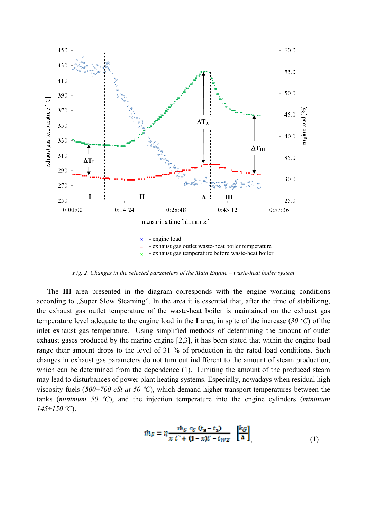

*Fig. 2. Changes in the selected parameters of the Main Engine – waste-heat boiler system*

The **III** area presented in the diagram corresponds with the engine working conditions according to "Super Slow Steaming". In the area it is essential that, after the time of stabilizing, the exhaust gas outlet temperature of the waste-heat boiler is maintained on the exhaust gas temperature level adequate to the engine load in the **I** area, in spite of the increase (*30 ºC*) of the inlet exhaust gas temperature. Using simplified methods of determining the amount of outlet exhaust gases produced by the marine engine [2,3], it has been stated that within the engine load range their amount drops to the level of 31 % of production in the rated load conditions. Such changes in exhaust gas parameters do not turn out indifferent to the amount of steam production, which can be determined from the dependence (1). Limiting the amount of the produced steam may lead to disturbances of power plant heating systems. Especially, nowadays when residual high viscosity fuels (*500÷700 cSt at 50 ºC*), which demand higher transport temperatures between the tanks (*minimum 50 ºC*), and the injection temperature into the engine cylinders (*minimum 145÷150 ºC*).

$$
m_P = \eta \frac{n_{S \ C_S (t_s - t_1)}}{x t^2 + (1 - x)t - t_{WZ}} \begin{bmatrix} k g \\ h \end{bmatrix}
$$
\n(1)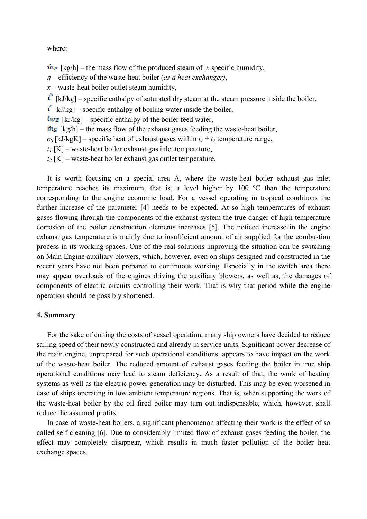where:

 $\dot{m}_P$  [kg/h] – the mass flow of the produced steam of *x* specific humidity,

*η* – efficiency of the waste-heat boiler (*as a heat exchanger)*,

 $x$  – waste-heat boiler outlet steam humidity,

 $\mathbf{i}'$  [kJ/kg] – specific enthalpy of saturated dry steam at the steam pressure inside the boiler,

 $\mathbf{i}'$  [kJ/kg] – specific enthalpy of boiling water inside the boiler,

 $\sqrt{k_{WZ}}$  [kJ/kg] – specific enthalpy of the boiler feed water,

 $\frac{\hbar s}{\hbar s}$  [kg/h] – the mass flow of the exhaust gases feeding the waste-heat boiler,

 $c_s$  [kJ/kgK] – specific heat of exhaust gases within  $t_1 \div t_2$  temperature range,

 $t_1$  [K] – waste-heat boiler exhaust gas inlet temperature,

 $t_2$  [K] – waste-heat boiler exhaust gas outlet temperature.

It is worth focusing on a special area A, where the waste-heat boiler exhaust gas inlet temperature reaches its maximum, that is, a level higher by 100 ºC than the temperature corresponding to the engine economic load. For a vessel operating in tropical conditions the further increase of the parameter [4] needs to be expected. At so high temperatures of exhaust gases flowing through the components of the exhaust system the true danger of high temperature corrosion of the boiler construction elements increases [5]. The noticed increase in the engine exhaust gas temperature is mainly due to insufficient amount of air supplied for the combustion process in its working spaces. One of the real solutions improving the situation can be switching on Main Engine auxiliary blowers, which, however, even on ships designed and constructed in the recent years have not been prepared to continuous working. Especially in the switch area there may appear overloads of the engines driving the auxiliary blowers, as well as, the damages of components of electric circuits controlling their work. That is why that period while the engine operation should be possibly shortened.

### **4. Summary**

For the sake of cutting the costs of vessel operation, many ship owners have decided to reduce sailing speed of their newly constructed and already in service units. Significant power decrease of the main engine, unprepared for such operational conditions, appears to have impact on the work of the waste-heat boiler. The reduced amount of exhaust gases feeding the boiler in true ship operational conditions may lead to steam deficiency. As a result of that, the work of heating systems as well as the electric power generation may be disturbed. This may be even worsened in case of ships operating in low ambient temperature regions. That is, when supporting the work of the waste-heat boiler by the oil fired boiler may turn out indispensable, which, however, shall reduce the assumed profits.

In case of waste-heat boilers, a significant phenomenon affecting their work is the effect of so called self cleaning [6]. Due to considerably limited flow of exhaust gases feeding the boiler, the effect may completely disappear, which results in much faster pollution of the boiler heat exchange spaces.